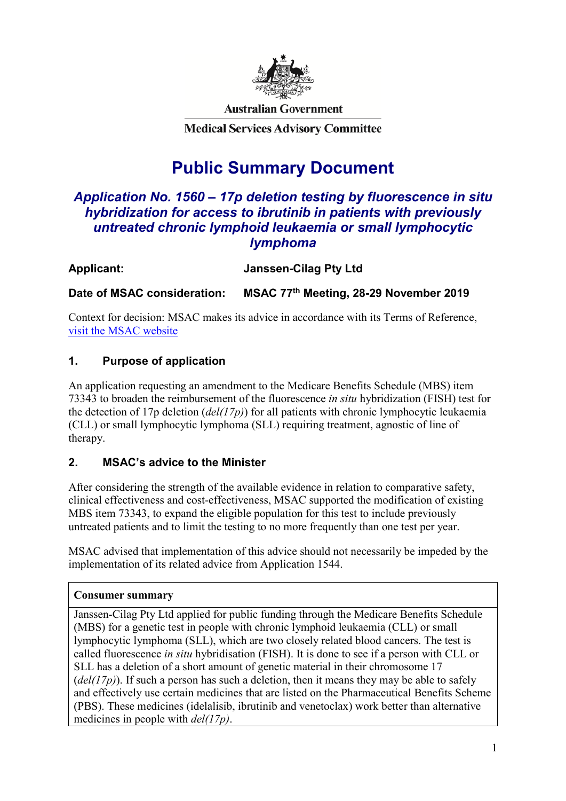

**Australian Government** 

**Medical Services Advisory Committee** 

# **Public Summary Document**

# *Application No. 1560 – 17p deletion testing by fluorescence in situ hybridization for access to ibrutinib in patients with previously untreated chronic lymphoid leukaemia or small lymphocytic lymphoma*

| <b>Janssen-Cilag Pty Ltd</b> |
|------------------------------|
|                              |

**Date of MSAC consideration: MSAC 77th Meeting, 28-29 November 2019**

Context for decision: MSAC makes its advice in accordance with its Terms of Reference, [visit the MSAC website](http://www.msac.gov.au/)

### **1. Purpose of application**

An application requesting an amendment to the Medicare Benefits Schedule (MBS) item 73343 to broaden the reimbursement of the fluorescence *in situ* hybridization (FISH) test for the detection of 17p deletion (*del(17p)*) for all patients with chronic lymphocytic leukaemia (CLL) or small lymphocytic lymphoma (SLL) requiring treatment, agnostic of line of therapy.

### **2. MSAC's advice to the Minister**

After considering the strength of the available evidence in relation to comparative safety, clinical effectiveness and cost-effectiveness, MSAC supported the modification of existing MBS item 73343, to expand the eligible population for this test to include previously untreated patients and to limit the testing to no more frequently than one test per year.

MSAC advised that implementation of this advice should not necessarily be impeded by the implementation of its related advice from Application 1544.

### **Consumer summary**

Janssen-Cilag Pty Ltd applied for public funding through the Medicare Benefits Schedule (MBS) for a genetic test in people with chronic lymphoid leukaemia (CLL) or small lymphocytic lymphoma (SLL), which are two closely related blood cancers. The test is called fluorescence *in situ* hybridisation (FISH). It is done to see if a person with CLL or SLL has a deletion of a short amount of genetic material in their chromosome 17  $(del(17p))$ . If such a person has such a deletion, then it means they may be able to safely and effectively use certain medicines that are listed on the Pharmaceutical Benefits Scheme (PBS). These medicines (idelalisib, ibrutinib and venetoclax) work better than alternative medicines in people with *del(17p)*.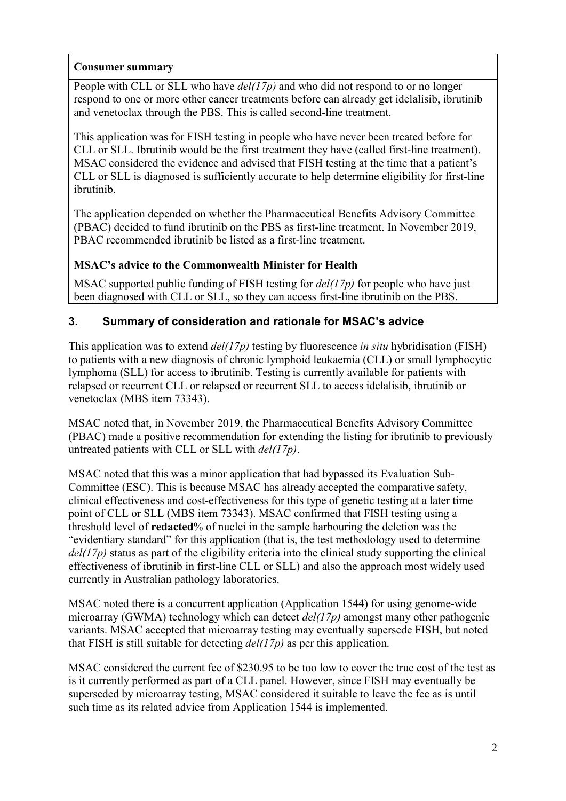### **Consumer summary**

People with CLL or SLL who have *del(17p)* and who did not respond to or no longer respond to one or more other cancer treatments before can already get idelalisib, ibrutinib and venetoclax through the PBS. This is called second-line treatment.

This application was for FISH testing in people who have never been treated before for CLL or SLL. Ibrutinib would be the first treatment they have (called first-line treatment). MSAC considered the evidence and advised that FISH testing at the time that a patient's CLL or SLL is diagnosed is sufficiently accurate to help determine eligibility for first-line ibrutinib.

The application depended on whether the Pharmaceutical Benefits Advisory Committee (PBAC) decided to fund ibrutinib on the PBS as first-line treatment. In November 2019, PBAC recommended ibrutinib be listed as a first-line treatment.

### **MSAC's advice to the Commonwealth Minister for Health**

MSAC supported public funding of FISH testing for *del(17p)* for people who have just been diagnosed with CLL or SLL, so they can access first-line ibrutinib on the PBS.

### **3. Summary of consideration and rationale for MSAC's advice**

This application was to extend *del(17p)* testing by fluorescence *in situ* hybridisation (FISH) to patients with a new diagnosis of chronic lymphoid leukaemia (CLL) or small lymphocytic lymphoma (SLL) for access to ibrutinib. Testing is currently available for patients with relapsed or recurrent CLL or relapsed or recurrent SLL to access idelalisib, ibrutinib or venetoclax (MBS item 73343).

MSAC noted that, in November 2019, the Pharmaceutical Benefits Advisory Committee (PBAC) made a positive recommendation for extending the listing for ibrutinib to previously untreated patients with CLL or SLL with *del(17p)*.

MSAC noted that this was a minor application that had bypassed its Evaluation Sub-Committee (ESC). This is because MSAC has already accepted the comparative safety, clinical effectiveness and cost-effectiveness for this type of genetic testing at a later time point of CLL or SLL (MBS item 73343). MSAC confirmed that FISH testing using a threshold level of **redacted**% of nuclei in the sample harbouring the deletion was the "evidentiary standard" for this application (that is, the test methodology used to determine *del(17p)* status as part of the eligibility criteria into the clinical study supporting the clinical effectiveness of ibrutinib in first-line CLL or SLL) and also the approach most widely used currently in Australian pathology laboratories.

MSAC noted there is a concurrent application (Application 1544) for using genome-wide microarray (GWMA) technology which can detect *del(17p)* amongst many other pathogenic variants. MSAC accepted that microarray testing may eventually supersede FISH, but noted that FISH is still suitable for detecting *del(17p)* as per this application.

MSAC considered the current fee of \$230.95 to be too low to cover the true cost of the test as is it currently performed as part of a CLL panel. However, since FISH may eventually be superseded by microarray testing, MSAC considered it suitable to leave the fee as is until such time as its related advice from Application 1544 is implemented.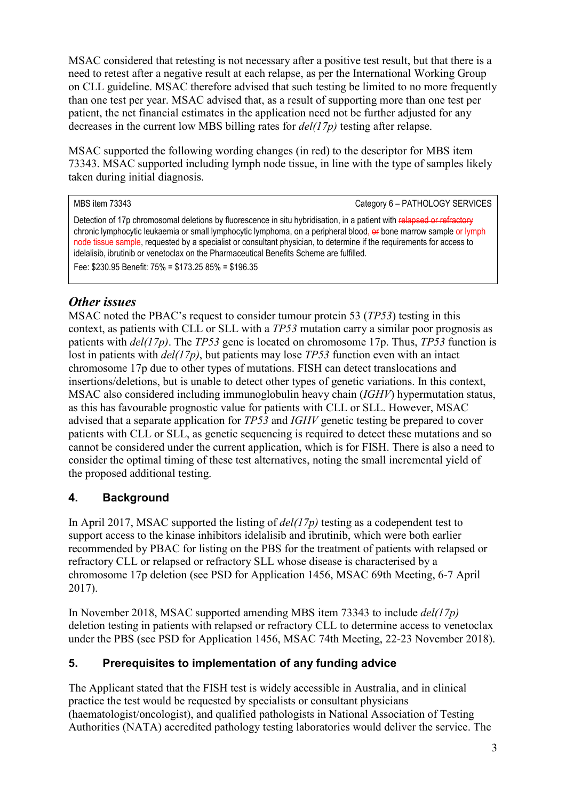MSAC considered that retesting is not necessary after a positive test result, but that there is a need to retest after a negative result at each relapse, as per the International Working Group on CLL guideline. MSAC therefore advised that such testing be limited to no more frequently than one test per year. MSAC advised that, as a result of supporting more than one test per patient, the net financial estimates in the application need not be further adjusted for any decreases in the current low MBS billing rates for *del(17p)* testing after relapse.

MSAC supported the following wording changes (in red) to the descriptor for MBS item 73343. MSAC supported including lymph node tissue, in line with the type of samples likely taken during initial diagnosis.

MBS item 73343 Category 6 – PATHOLOGY SERVICES Detection of 17p chromosomal deletions by fluorescence in situ hybridisation, in a patient with relapsed or refractory chronic lymphocytic leukaemia or small lymphocytic lymphoma, on a peripheral blood, or bone marrow sample or lymph node tissue sample, requested by a specialist or consultant physician, to determine if the requirements for access to idelalisib, ibrutinib or venetoclax on the Pharmaceutical Benefits Scheme are fulfilled. Fee: \$230.95 Benefit: 75% = \$173.25 85% = \$196.35

# *Other issues*

MSAC noted the PBAC's request to consider tumour protein 53 (*TP53*) testing in this context, as patients with CLL or SLL with a *TP53* mutation carry a similar poor prognosis as patients with *del(17p)*. The *TP53* gene is located on chromosome 17p. Thus, *TP53* function is lost in patients with *del(17p)*, but patients may lose *TP53* function even with an intact chromosome 17p due to other types of mutations. FISH can detect translocations and insertions/deletions, but is unable to detect other types of genetic variations. In this context, MSAC also considered including immunoglobulin heavy chain (*IGHV*) hypermutation status, as this has favourable prognostic value for patients with CLL or SLL. However, MSAC advised that a separate application for *TP53* and *IGHV* genetic testing be prepared to cover patients with CLL or SLL, as genetic sequencing is required to detect these mutations and so cannot be considered under the current application, which is for FISH. There is also a need to consider the optimal timing of these test alternatives, noting the small incremental yield of the proposed additional testing.

### **4. Background**

In April 2017, MSAC supported the listing of *del(17p)* testing as a codependent test to support access to the kinase inhibitors idelalisib and ibrutinib, which were both earlier recommended by PBAC for listing on the PBS for the treatment of patients with relapsed or refractory CLL or relapsed or refractory SLL whose disease is characterised by a chromosome 17p deletion (see PSD for Application 1456, MSAC 69th Meeting, 6-7 April 2017).

In November 2018, MSAC supported amending MBS item 73343 to include *del(17p)* deletion testing in patients with relapsed or refractory CLL to determine access to venetoclax under the PBS (see PSD for Application 1456, MSAC 74th Meeting, 22-23 November 2018).

### **5. Prerequisites to implementation of any funding advice**

The Applicant stated that the FISH test is widely accessible in Australia, and in clinical practice the test would be requested by specialists or consultant physicians (haematologist/oncologist), and qualified pathologists in National Association of Testing Authorities (NATA) accredited pathology testing laboratories would deliver the service. The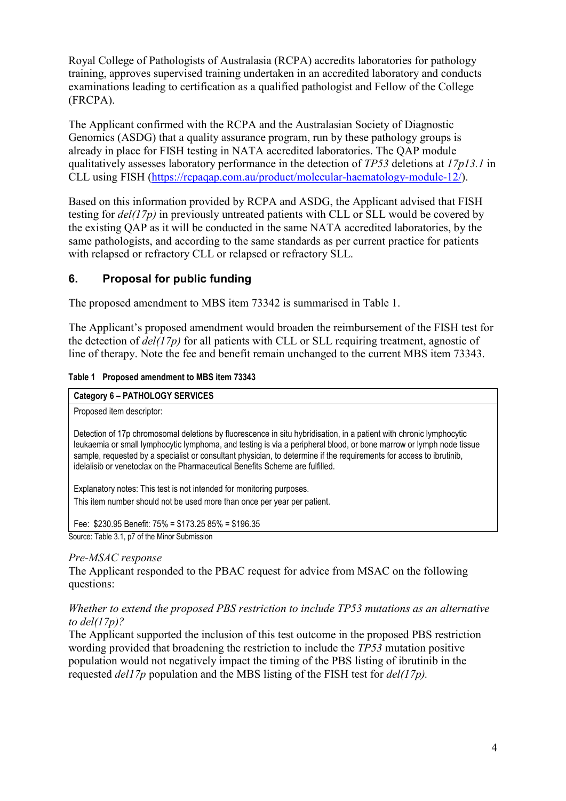Royal College of Pathologists of Australasia (RCPA) accredits laboratories for pathology training, approves supervised training undertaken in an accredited laboratory and conducts examinations leading to certification as a qualified pathologist and Fellow of the College (FRCPA).

The Applicant confirmed with the RCPA and the Australasian Society of Diagnostic Genomics (ASDG) that a quality assurance program, run by these pathology groups is already in place for FISH testing in NATA accredited laboratories. The QAP module qualitatively assesses laboratory performance in the detection of *TP53* deletions at *17p13.1* in CLL using FISH [\(https://rcpaqap.com.au/product/molecular-haematology-module-12/\)](https://rcpaqap.com.au/product/molecular-haematology-module-12/).

Based on this information provided by RCPA and ASDG, the Applicant advised that FISH testing for *del(17p)* in previously untreated patients with CLL or SLL would be covered by the existing QAP as it will be conducted in the same NATA accredited laboratories, by the same pathologists, and according to the same standards as per current practice for patients with relapsed or refractory CLL or relapsed or refractory SLL.

### **6. Proposal for public funding**

The proposed amendment to MBS item 73342 is summarised in Table 1.

The Applicant's proposed amendment would broaden the reimbursement of the FISH test for the detection of *del(17p)* for all patients with CLL or SLL requiring treatment, agnostic of line of therapy. Note the fee and benefit remain unchanged to the current MBS item 73343.

#### **Table 1 Proposed amendment to MBS item 73343**

| Category 6 - PATHOLOGY SERVICES                                                                                                                                                                                                                                                                                                                                                                                                                     |
|-----------------------------------------------------------------------------------------------------------------------------------------------------------------------------------------------------------------------------------------------------------------------------------------------------------------------------------------------------------------------------------------------------------------------------------------------------|
| Proposed item descriptor:                                                                                                                                                                                                                                                                                                                                                                                                                           |
| Detection of 17p chromosomal deletions by fluorescence in situ hybridisation, in a patient with chronic lymphocytic<br>leukaemia or small lymphocytic lymphoma, and testing is via a peripheral blood, or bone marrow or lymph node tissue<br>sample, requested by a specialist or consultant physician, to determine if the requirements for access to ibrutinib,<br>idelalisib or venetoclax on the Pharmaceutical Benefits Scheme are fulfilled. |
| Explanatory notes: This test is not intended for monitoring purposes.                                                                                                                                                                                                                                                                                                                                                                               |
| This item number should not be used more than once per year per patient.                                                                                                                                                                                                                                                                                                                                                                            |
| Fee: $$230.95$ Benefit: 75% = \$173.25 85% = \$196.35                                                                                                                                                                                                                                                                                                                                                                                               |
| Source: Table 3.1, p7 of the Minor Submission                                                                                                                                                                                                                                                                                                                                                                                                       |

#### *Pre-MSAC response*

The Applicant responded to the PBAC request for advice from MSAC on the following questions:

#### *Whether to extend the proposed PBS restriction to include TP53 mutations as an alternative to del(17p)?*

The Applicant supported the inclusion of this test outcome in the proposed PBS restriction wording provided that broadening the restriction to include the *TP53* mutation positive population would not negatively impact the timing of the PBS listing of ibrutinib in the requested *del17p* population and the MBS listing of the FISH test for *del(17p).*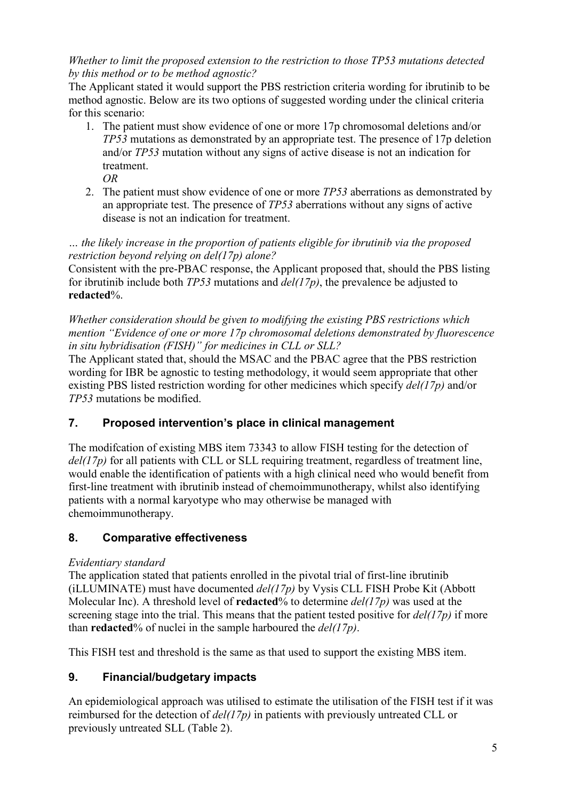### *Whether to limit the proposed extension to the restriction to those TP53 mutations detected by this method or to be method agnostic?*

The Applicant stated it would support the PBS restriction criteria wording for ibrutinib to be method agnostic. Below are its two options of suggested wording under the clinical criteria for this scenario:

- 1. The patient must show evidence of one or more 17p chromosomal deletions and/or *TP53* mutations as demonstrated by an appropriate test. The presence of 17p deletion and/or *TP53* mutation without any signs of active disease is not an indication for treatment. *OR*
- 2. The patient must show evidence of one or more *TP53* aberrations as demonstrated by an appropriate test. The presence of *TP53* aberrations without any signs of active disease is not an indication for treatment.

### *… the likely increase in the proportion of patients eligible for ibrutinib via the proposed restriction beyond relying on del(17p) alone?*

Consistent with the pre-PBAC response, the Applicant proposed that, should the PBS listing for ibrutinib include both *TP53* mutations and *del(17p)*, the prevalence be adjusted to **redacted**%.

*Whether consideration should be given to modifying the existing PBS restrictions which mention "Evidence of one or more 17p chromosomal deletions demonstrated by fluorescence in situ hybridisation (FISH)" for medicines in CLL or SLL?*

The Applicant stated that, should the MSAC and the PBAC agree that the PBS restriction wording for IBR be agnostic to testing methodology, it would seem appropriate that other existing PBS listed restriction wording for other medicines which specify *del(17p)* and/or *TP53* mutations be modified.

# **7. Proposed intervention's place in clinical management**

The modifcation of existing MBS item 73343 to allow FISH testing for the detection of *del(17p)* for all patients with CLL or SLL requiring treatment, regardless of treatment line, would enable the identification of patients with a high clinical need who would benefit from first-line treatment with ibrutinib instead of chemoimmunotherapy, whilst also identifying patients with a normal karyotype who may otherwise be managed with chemoimmunotherapy.

# **8. Comparative effectiveness**

### *Evidentiary standard*

The application stated that patients enrolled in the pivotal trial of first-line ibrutinib (iLLUMINATE) must have documented *del(17p)* by Vysis CLL FISH Probe Kit (Abbott Molecular Inc). A threshold level of **redacted**% to determine *del(17p)* was used at the screening stage into the trial. This means that the patient tested positive for *del(17p)* if more than **redacted**% of nuclei in the sample harboured the *del(17p)*.

This FISH test and threshold is the same as that used to support the existing MBS item.

# **9. Financial/budgetary impacts**

An epidemiological approach was utilised to estimate the utilisation of the FISH test if it was reimbursed for the detection of *del(17p)* in patients with previously untreated CLL or previously untreated SLL (Table 2).